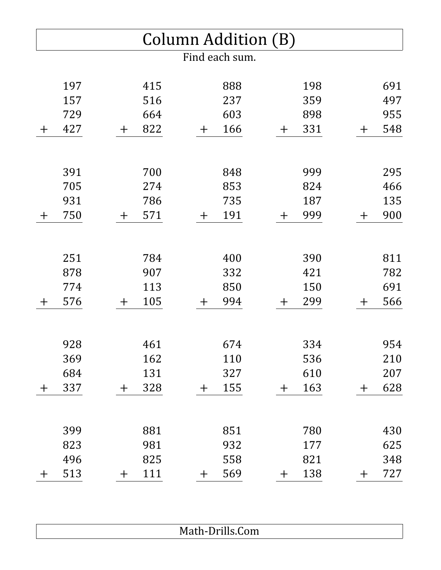| Column Addition (B) |     |              |     |  |              |                |  |       |     |       |     |
|---------------------|-----|--------------|-----|--|--------------|----------------|--|-------|-----|-------|-----|
|                     |     |              |     |  |              | Find each sum. |  |       |     |       |     |
|                     | 197 |              | 415 |  |              | 888            |  |       | 198 |       | 691 |
|                     | 157 |              | 516 |  |              | 237            |  |       | 359 |       | 497 |
|                     | 729 |              | 664 |  |              | 603            |  |       | 898 |       | 955 |
| $+$                 | 427 | $\mathrm{+}$ | 822 |  | $\pm$        | 166            |  | $\pm$ | 331 | $\pm$ | 548 |
|                     | 391 |              | 700 |  |              | 848            |  |       | 999 |       | 295 |
|                     | 705 |              | 274 |  |              | 853            |  |       | 824 |       | 466 |
|                     | 931 |              | 786 |  |              | 735            |  |       | 187 |       | 135 |
| $\pm$               | 750 | $\mathrm{+}$ | 571 |  | $\pm$        | 191            |  | $\pm$ | 999 | $\pm$ | 900 |
|                     |     |              |     |  |              |                |  |       |     |       |     |
|                     | 251 |              | 784 |  |              | 400            |  |       | 390 |       | 811 |
|                     | 878 |              | 907 |  |              | 332            |  |       | 421 |       | 782 |
|                     | 774 |              | 113 |  |              | 850            |  |       | 150 |       | 691 |
| $+$                 | 576 | $\bm{+}$     | 105 |  | $\mathrm{+}$ | 994            |  | $\pm$ | 299 | $\pm$ | 566 |
|                     |     |              |     |  |              |                |  |       |     |       |     |
|                     | 928 |              | 461 |  |              | 674            |  |       | 334 |       | 954 |
|                     | 369 |              | 162 |  |              | 110            |  |       | 536 |       | 210 |
|                     | 684 |              | 131 |  |              | 327            |  |       | 610 |       | 207 |
| $\pm$               | 337 | $\pm$        | 328 |  | $\mathrm{+}$ | 155            |  | $\pm$ | 163 | $\pm$ | 628 |
|                     | 399 |              | 881 |  |              | 851            |  |       | 780 |       | 430 |
|                     | 823 |              | 981 |  |              | 932            |  |       | 177 |       | 625 |
|                     | 496 |              | 825 |  |              | 558            |  |       | 821 |       | 348 |
| $\pm$               | 513 | ┿            | 111 |  | $\pm$        | 569            |  | $\pm$ | 138 | $\pm$ | 727 |
|                     |     |              |     |  |              |                |  |       |     |       |     |

| <b>THAMIL PITHOLOGILL</b> |
|---------------------------|
|---------------------------|